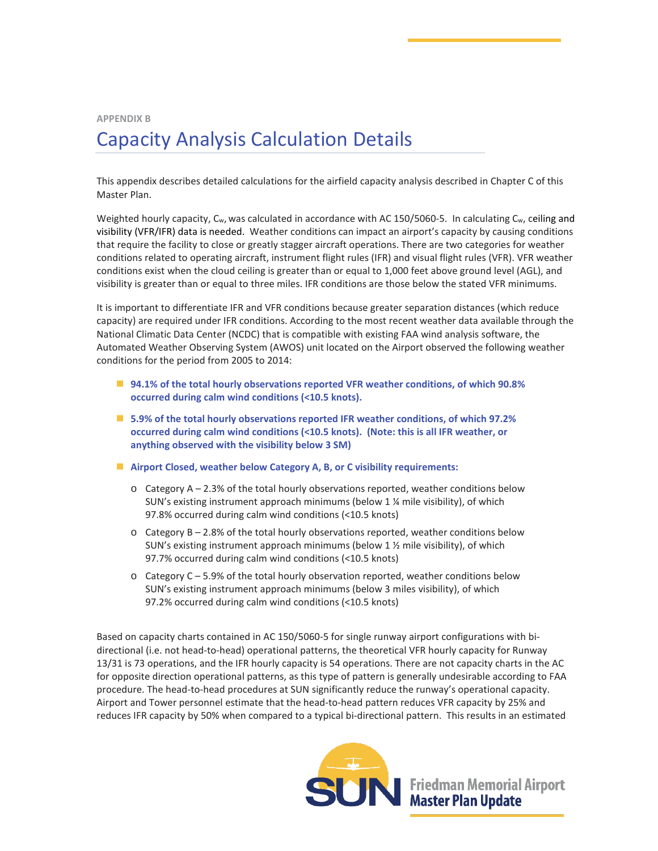## **APPENDIX B** Capacity Analysis Calculation Details

This appendix describes detailed calculations for the airfield capacity analysis described in Chapter C of this Master Plan.

Weighted hourly capacity, C<sub>w</sub>, was calculated in accordance with AC 150/5060-5. In calculating C<sub>w</sub>, ceiling and visibility (VFR/IFR) data is needed. Weather conditions can impact an airport's capacity by causing conditions that require the facility to close or greatly stagger aircraft operations. There are two categories for weather conditions related to operating aircraft, instrument flight rules (IFR) and visual flight rules (VFR). VFR weather conditions exist when the cloud ceiling is greater than or equal to 1,000 feet above ground level (AGL), and visibility is greater than or equal to three miles. IFR conditions are those below the stated VFR minimums.

It is important to differentiate IFR and VFR conditions because greater separation distances (which reduce capacity) are required under IFR conditions. According to the most recent weather data available through the National Climatic Data Center (NCDC) that is compatible with existing FAA wind analysis software, the Automated Weather Observing System (AWOS) unit located on the Airport observed the following weather conditions for the period from 2005 to 2014:

- **94.1% of the total hourly observations reported VFR weather conditions, of which 90.8% occurred during calm wind conditions (<10.5 knots).**
- **5.9% of the total hourly observations reported IFR weather conditions, of which 97.2% occurred during calm wind conditions (<10.5 knots). (Note: this is all IFR weather, or anything observed with the visibility below 3 SM)**
- **Airport Closed, weather below Category A, B, or C visibility requirements:**
	- $\circ$  Category A 2.3% of the total hourly observations reported, weather conditions below SUN's existing instrument approach minimums (below 1 ¼ mile visibility), of which 97.8% occurred during calm wind conditions (<10.5 knots)
	- $\circ$  Category B 2.8% of the total hourly observations reported, weather conditions below SUN's existing instrument approach minimums (below 1 ½ mile visibility), of which 97.7% occurred during calm wind conditions (<10.5 knots)
	- $\circ$  Category C 5.9% of the total hourly observation reported, weather conditions below SUN's existing instrument approach minimums (below 3 miles visibility), of which 97.2% occurred during calm wind conditions (<10.5 knots)

Based on capacity charts contained in AC 150/5060-5 for single runway airport configurations with bidirectional (i.e. not head-to-head) operational patterns, the theoretical VFR hourly capacity for Runway 13/31 is 73 operations, and the IFR hourly capacity is 54 operations. There are not capacity charts in the AC for opposite direction operational patterns, as this type of pattern is generally undesirable according to FAA procedure. The head-to-head procedures at SUN significantly reduce the runway's operational capacity. Airport and Tower personnel estimate that the head-to-head pattern reduces VFR capacity by 25% and reduces IFR capacity by 50% when compared to a typical bi-directional pattern. This results in an estimated